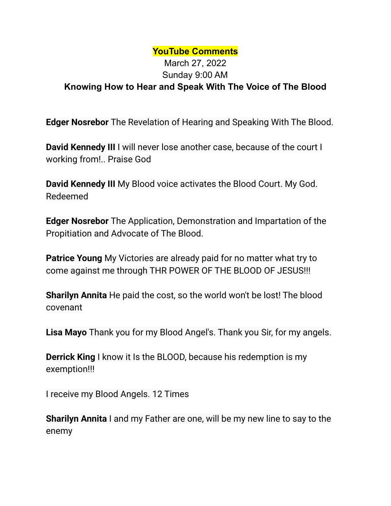## **YouTube Comments**

## March 27, 2022 Sunday 9:00 AM **Knowing How to Hear and Speak With The Voice of The Blood**

**Edger Nosrebor** The Revelation of Hearing and Speaking With The Blood.

**David Kennedy III** I will never lose another case, because of the court I working from!.. Praise God

**David Kennedy III** My Blood voice activates the Blood Court. My God. Redeemed

**Edger Nosrebor** The Application, Demonstration and Impartation of the Propitiation and Advocate of The Blood.

**Patrice Young** My Victories are already paid for no matter what try to come against me through THR POWER OF THE BLOOD OF JESUS!!!

**Sharilyn Annita** He paid the cost, so the world won't be lost! The blood covenant

**Lisa Mayo** Thank you for my Blood Angel's. Thank you Sir, for my angels.

**Derrick King** I know it Is the BLOOD, because his redemption is my exemption!!!

I receive my Blood Angels. 12 Times

**Sharilyn Annita** I and my Father are one, will be my new line to say to the enemy